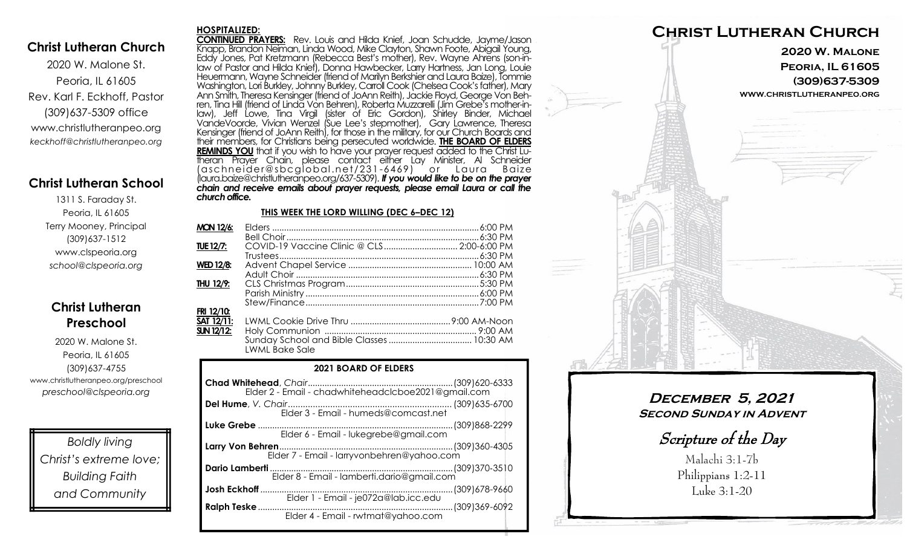## **Christ Lutheran Church**

2020 W. Malone St. Peoria, IL 61605 Rev. Karl F. Eckhoff, Pastor (309)637-5309 office www.christlutheranpeo.org *keckhoff@christlutheranpeo.org*

## **Christ Lutheran School**

1311 S. Faraday St. Peoria, IL 61605 Terry Mooney, Principal (309)637-1512 www.clspeoria.org *school@clspeoria.org*

## **Christ Lutheran Preschool**

2020 W. Malone St. Peoria, IL 61605 (309)637-4755 www.christlutheranpeo.org/preschool *preschool@clspeoria.org*

*Boldly living Christ's extreme love; Building Faith and Community*

#### **HOSPITALIZED:**

**CONTINUED PRAYERS:** Rev. Louis and Hilda Knief, Joan Schudde, Jayme/Jason Knapp, Brandon Neiman, Linda Wood, Mike Clayton, Shawn Foote, Abigail Young, Eddy Jones, Pat Kretzmann (Rebecca Best's mother), Rev. Wayne Ahrens (son-inlaw of Pastor and Hilda Knief), Donna Hawbecker, Larry Hartness, Jan Long, Louie Heuermann, Wayne Schneider (friend of Marilyn Berkshier and Laura Baize), Tommie Washington, Lori Burkley, Johnny Burkley, Carroll Cook (Chelsea Cook's father), Mary Ann Smith, Theresa Kensinger (friend of JoAnn Reith), Jackie Floyd, George Von Behren, Tina Hill (friend of Linda Von Behren), Roberta Muzzarelli (Jim Grebe's mother-inlaw), Jeff Lowe, Tina Virgil (sister of Eric Gordon), Shirley Binder, Michael VandeVoorde, Vivian Wenzel (Sue Lee's stepmother), Gary Lawrence, Theresa Kensinger (friend of JoAnn Reith), for those in the military, for our Church Boards and their members, for Christians being persecuted worldwide. **THE BOARD OF ELDERS REMINDS YOU** that if you wish to have your prayer request added to the Christ Lutheran Prayer Chain, please contact either Lay Minister, Al Schneider (aschnei der@sbcglobal .net/231 -6469) or Laura B aize (laura.baize@christlutheranpeo.org/637-5309). *If you would like to be on the prayer chain and receive emails about prayer requests, please email Laura or call the church office.*

#### **THIS WEEK THE LORD WILLING (DEC 6–DEC 12)**

| <b>MON 12/6:</b>  |                                            |  |
|-------------------|--------------------------------------------|--|
|                   |                                            |  |
| TUE 12/7:         | COVID-19 Vaccine Clinic @ CLS 2:00-6:00 PM |  |
|                   |                                            |  |
| <b>WED 12/8:</b>  |                                            |  |
|                   |                                            |  |
| THU 12/9:         |                                            |  |
|                   |                                            |  |
|                   |                                            |  |
| FRI 12/10:        |                                            |  |
| SAT 12/11:        |                                            |  |
| <b>SUN 12/12:</b> |                                            |  |
|                   |                                            |  |
|                   | <b>LWML Bake Sale</b>                      |  |

#### **2021 BOARD OF ELDERS**

| Elder 4 - Email - rwtmat@yahoo.com |  |
|------------------------------------|--|



**December 5, 2021 SECOND SUNDAY IN ADVENT** 

Scripture of the Day

Malachi 3:1-7b Philippians 1:2-11 Luke 3:1-20